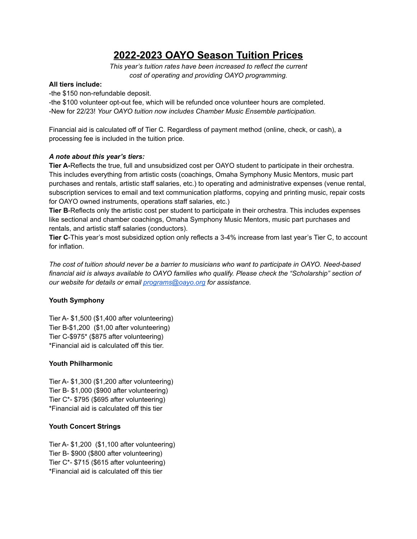# **2022-2023 OAYO Season Tuition Prices**

*This year's tuition rates have been increased to reflect the current cost of operating and providing OAYO programming.*

#### **All tiers include:**

-the \$150 non-refundable deposit.

-the \$100 volunteer opt-out fee, which will be refunded once volunteer hours are completed. -New for 22/23! *Your OAYO tuition now includes Chamber Music Ensemble participation.*

Financial aid is calculated off of Tier C. Regardless of payment method (online, check, or cash), a processing fee is included in the tuition price.

# *A note about this year's tiers:*

**Tier A-**Reflects the true, full and unsubsidized cost per OAYO student to participate in their orchestra. This includes everything from artistic costs (coachings, Omaha Symphony Music Mentors, music part purchases and rentals, artistic staff salaries, etc.) to operating and administrative expenses (venue rental, subscription services to email and text communication platforms, copying and printing music, repair costs for OAYO owned instruments, operations staff salaries, etc.)

**Tier B**-Reflects only the artistic cost per student to participate in their orchestra. This includes expenses like sectional and chamber coachings, Omaha Symphony Music Mentors, music part purchases and rentals, and artistic staff salaries (conductors).

**Tier C**-This year's most subsidized option only reflects a 3-4% increase from last year's Tier C, to account for inflation.

The cost of tuition should never be a barrier to musicians who want to participate in OAYO. Need-based *financial aid is always available to OAYO families who qualify. Please check the "Scholarship" section of our website for details or email [programs@oayo.org](mailto:programs@oayo.org) for assistance.*

# **Youth Symphony**

Tier A- \$1,500 (\$1,400 after volunteering) Tier B-\$1,200 (\$1,00 after volunteering) Tier C-\$975\* (\$875 after volunteering) \*Financial aid is calculated off this tier.

# **Youth Philharmonic**

Tier A- \$1,300 (\$1,200 after volunteering) Tier B- \$1,000 (\$900 after volunteering) Tier C\*- \$795 (\$695 after volunteering) \*Financial aid is calculated off this tier

# **Youth Concert Strings**

Tier A- \$1,200 (\$1,100 after volunteering) Tier B- \$900 (\$800 after volunteering) Tier C\*- \$715 (\$615 after volunteering) \*Financial aid is calculated off this tier